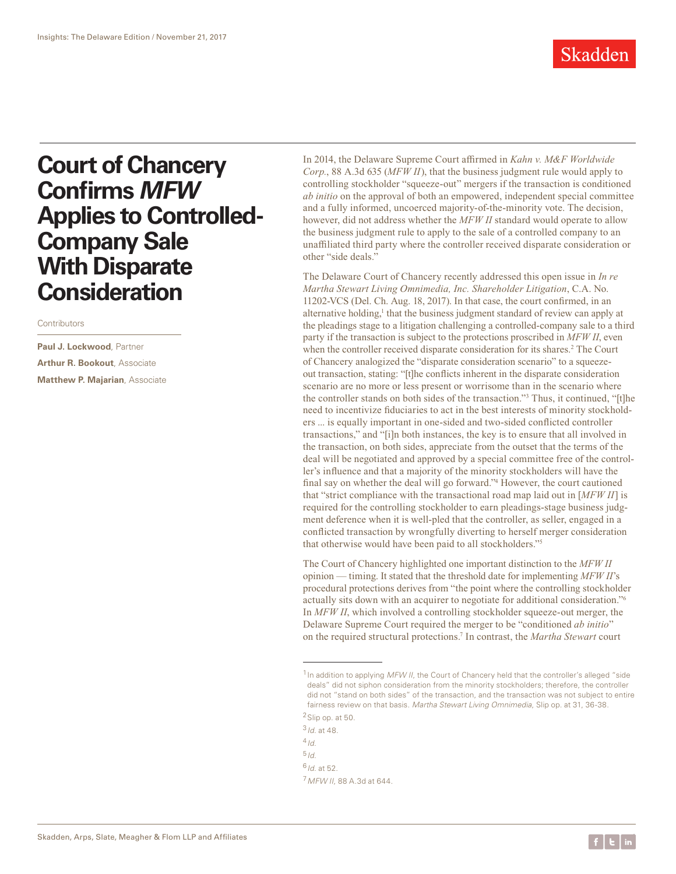

## **Court of Chancery Confirms** *MFW* **Applies to Controlled-Company Sale With Disparate Consideration**

Contributors

**Paul J. Lockwood**, Partner **Arthur R. Bookout**, Associate **Matthew P. Majarian**, Associate

In 2014, the Delaware Supreme Court affirmed in *Kahn v. M&F Worldwide Corp.*, 88 A.3d 635 (*MFW II*), that the business judgment rule would apply to controlling stockholder "squeeze-out" mergers if the transaction is conditioned *ab initio* on the approval of both an empowered, independent special committee and a fully informed, uncoerced majority-of-the-minority vote. The decision, however, did not address whether the *MFW II* standard would operate to allow the business judgment rule to apply to the sale of a controlled company to an unaffiliated third party where the controller received disparate consideration or other "side deals."

The Delaware Court of Chancery recently addressed this open issue in *In re Martha Stewart Living Omnimedia, Inc. Shareholder Litigation*, C.A. No. 11202-VCS (Del. Ch. Aug. 18, 2017). In that case, the court confirmed, in an alternative holding,<sup>1</sup> that the business judgment standard of review can apply at the pleadings stage to a litigation challenging a controlled-company sale to a third party if the transaction is subject to the protections proscribed in *MFW II*, even when the controller received disparate consideration for its shares.<sup>2</sup> The Court of Chancery analogized the "disparate consideration scenario" to a squeezeout transaction, stating: "[t]he conflicts inherent in the disparate consideration scenario are no more or less present or worrisome than in the scenario where the controller stands on both sides of the transaction."3 Thus, it continued, "[t]he need to incentivize fiduciaries to act in the best interests of minority stockholders ... is equally important in one-sided and two-sided conflicted controller transactions," and "[i]n both instances, the key is to ensure that all involved in the transaction, on both sides, appreciate from the outset that the terms of the deal will be negotiated and approved by a special committee free of the controller's influence and that a majority of the minority stockholders will have the final say on whether the deal will go forward."4 However, the court cautioned that "strict compliance with the transactional road map laid out in [*MFW II*] is required for the controlling stockholder to earn pleadings-stage business judgment deference when it is well-pled that the controller, as seller, engaged in a conflicted transaction by wrongfully diverting to herself merger consideration that otherwise would have been paid to all stockholders."5

The Court of Chancery highlighted one important distinction to the *MFW II* opinion — timing. It stated that the threshold date for implementing *MFW II*'s procedural protections derives from "the point where the controlling stockholder actually sits down with an acquirer to negotiate for additional consideration."6 In *MFW II*, which involved a controlling stockholder squeeze-out merger, the Delaware Supreme Court required the merger to be "conditioned *ab initio*" on the required structural protections.7 In contrast, the *Martha Stewart* court

<sup>3</sup>*Id*. at 48.

<sup>4</sup>*Id*.

<sup>5</sup>*Id*.

<sup>6</sup>*Id*. at 52.

<sup>7</sup>*MFW II*, 88 A.3d at 644.

<sup>&</sup>lt;sup>1</sup> In addition to applying *MFW II*, the Court of Chancery held that the controller's alleged "side deals" did not siphon consideration from the minority stockholders; therefore, the controller did not "stand on both sides" of the transaction, and the transaction was not subject to entire fairness review on that basis. *Martha Stewart Living Omnimedia*, Slip op. at 31, 36-38. 2Slip op. at 50.